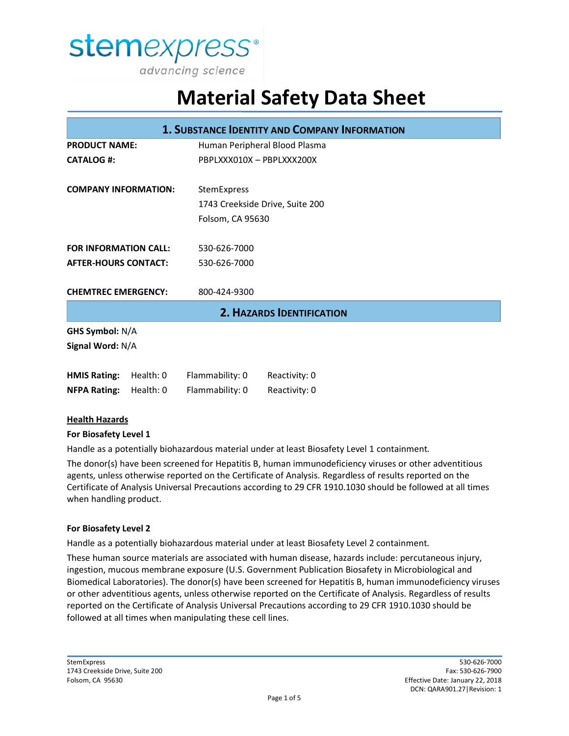

| <b>1. SUBSTANCE IDENTITY AND COMPANY INFORMATION</b> |           |                               |                                 |  |
|------------------------------------------------------|-----------|-------------------------------|---------------------------------|--|
| <b>PRODUCT NAME:</b>                                 |           | Human Peripheral Blood Plasma |                                 |  |
| <b>CATALOG #:</b>                                    |           | PBPLXXX010X - PBPLXXX200X     |                                 |  |
| <b>COMPANY INFORMATION:</b>                          |           | StemExpress                   |                                 |  |
|                                                      |           |                               | 1743 Creekside Drive, Suite 200 |  |
|                                                      |           | Folsom, CA 95630              |                                 |  |
| <b>FOR INFORMATION CALL:</b>                         |           | 530-626-7000                  |                                 |  |
| <b>AFTER-HOURS CONTACT:</b>                          |           | 530-626-7000                  |                                 |  |
| <b>CHEMTREC EMERGENCY:</b>                           |           | 800-424-9300                  |                                 |  |
| <b>2. HAZARDS IDENTIFICATION</b>                     |           |                               |                                 |  |
| <b>GHS Symbol: N/A</b>                               |           |                               |                                 |  |
| Signal Word: N/A                                     |           |                               |                                 |  |
| <b>HMIS Rating:</b>                                  | Health: 0 | Flammability: 0               | Reactivity: 0                   |  |
| <b>NFPA Rating:</b>                                  | Health: 0 | Flammability: 0               | Reactivity: 0                   |  |

#### **Health Hazards**

#### **For Biosafety Level 1**

Handle as a potentially biohazardous material under at least Biosafety Level 1 containment.

The donor(s) have been screened for Hepatitis B, human immunodeficiency viruses or other adventitious agents, unless otherwise reported on the Certificate of Analysis. Regardless of results reported on the Certificate of Analysis Universal Precautions according to 29 CFR 1910.1030 should be followed at all times when handling product.

#### **For Biosafety Level 2**

Handle as a potentially biohazardous material under at least Biosafety Level 2 containment.

These human source materials are associated with human disease, hazards include: percutaneous injury, ingestion, mucous membrane exposure (U.S. Government Publication Biosafety in Microbiological and Biomedical Laboratories). The donor(s) have been screened for Hepatitis B, human immunodeficiency viruses or other adventitious agents, unless otherwise reported on the Certificate of Analysis. Regardless of results reported on the Certificate of Analysis Universal Precautions according to 29 CFR 1910.1030 should be followed at all times when manipulating these cell lines.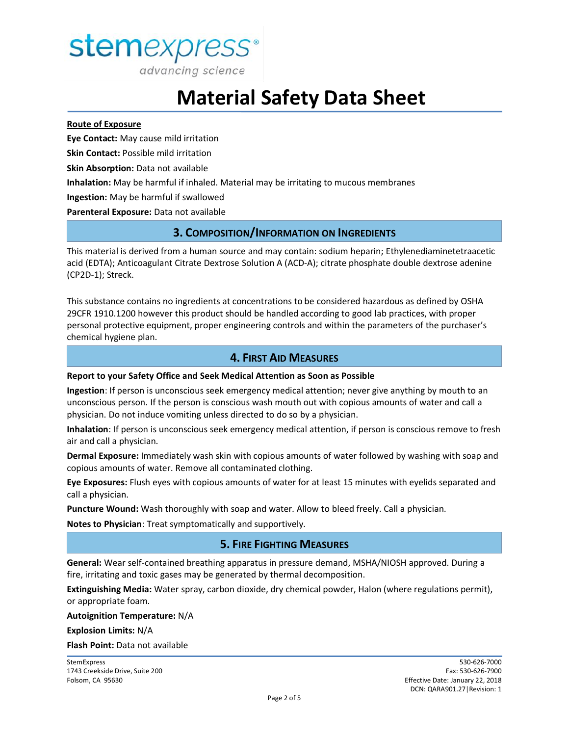

advancing science

# **Material Safety Data Sheet**

#### **Route of Exposure**

**Eye Contact:** May cause mild irritation

**Skin Contact:** Possible mild irritation

**Skin Absorption:** Data not available

**Inhalation:** May be harmful if inhaled. Material may be irritating to mucous membranes

**Ingestion:** May be harmful if swallowed

**Parenteral Exposure:** Data not available

## **3. COMPOSITION/INFORMATION ON INGREDIENTS**

This material is derived from a human source and may contain: sodium heparin; Ethylenediaminetetraacetic acid (EDTA); Anticoagulant Citrate Dextrose Solution A (ACD-A); citrate phosphate double dextrose adenine (CP2D-1); Streck.

This substance contains no ingredients at concentrations to be considered hazardous as defined by OSHA 29CFR 1910.1200 however this product should be handled according to good lab practices, with proper personal protective equipment, proper engineering controls and within the parameters of the purchaser's chemical hygiene plan.

## **4. FIRST AID MEASURES**

#### **Report to your Safety Office and Seek Medical Attention as Soon as Possible**

**Ingestion**: If person is unconscious seek emergency medical attention; never give anything by mouth to an unconscious person. If the person is conscious wash mouth out with copious amounts of water and call a physician. Do not induce vomiting unless directed to do so by a physician.

**Inhalation**: If person is unconscious seek emergency medical attention, if person is conscious remove to fresh air and call a physician.

**Dermal Exposure:** Immediately wash skin with copious amounts of water followed by washing with soap and copious amounts of water. Remove all contaminated clothing.

**Eye Exposures:** Flush eyes with copious amounts of water for at least 15 minutes with eyelids separated and call a physician.

**Puncture Wound:** Wash thoroughly with soap and water. Allow to bleed freely. Call a physician.

**Notes to Physician**: Treat symptomatically and supportively.

## **5. FIRE FIGHTING MEASURES**

**General:** Wear self-contained breathing apparatus in pressure demand, MSHA/NIOSH approved. During a fire, irritating and toxic gases may be generated by thermal decomposition.

**Extinguishing Media:** Water spray, carbon dioxide, dry chemical powder, Halon (where regulations permit), or appropriate foam.

**Autoignition Temperature:** N/A

**Explosion Limits:** N/A

**Flash Point:** Data not available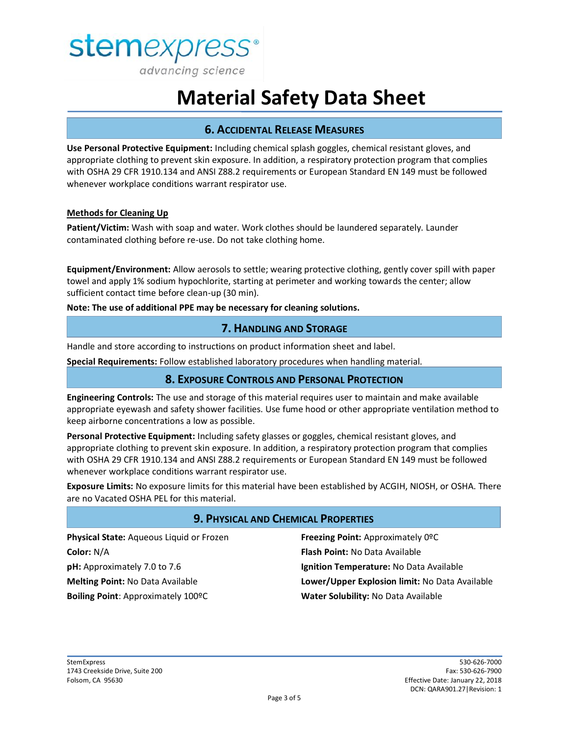

# **6. ACCIDENTAL RELEASE MEASURES**

**Use Personal Protective Equipment:** Including chemical splash goggles, chemical resistant gloves, and appropriate clothing to prevent skin exposure. In addition, a respiratory protection program that complies with OSHA 29 CFR 1910.134 and ANSI Z88.2 requirements or European Standard EN 149 must be followed whenever workplace conditions warrant respirator use.

#### **Methods for Cleaning Up**

**Patient/Victim:** Wash with soap and water. Work clothes should be laundered separately. Launder contaminated clothing before re-use. Do not take clothing home.

**Equipment/Environment:** Allow aerosols to settle; wearing protective clothing, gently cover spill with paper towel and apply 1% sodium hypochlorite, starting at perimeter and working towards the center; allow sufficient contact time before clean-up (30 min).

**Note: The use of additional PPE may be necessary for cleaning solutions.**

### **7. HANDLING AND STORAGE**

Handle and store according to instructions on product information sheet and label.

**Special Requirements:** Follow established laboratory procedures when handling material.

## **8. EXPOSURE CONTROLS AND PERSONAL PROTECTION**

**Engineering Controls:** The use and storage of this material requires user to maintain and make available appropriate eyewash and safety shower facilities. Use fume hood or other appropriate ventilation method to keep airborne concentrations a low as possible.

**Personal Protective Equipment:** Including safety glasses or goggles, chemical resistant gloves, and appropriate clothing to prevent skin exposure. In addition, a respiratory protection program that complies with OSHA 29 CFR 1910.134 and ANSI Z88.2 requirements or European Standard EN 149 must be followed whenever workplace conditions warrant respirator use.

**Exposure Limits:** No exposure limits for this material have been established by ACGIH, NIOSH, or OSHA. There are no Vacated OSHA PEL for this material.

### **9. PHYSICAL AND CHEMICAL PROPERTIES**

**Physical State:** Aqueous Liquid or Frozen **Color:** N/A **pH:** Approximately 7.0 to 7.6 **Melting Point:** No Data Available **Boiling Point**: Approximately 100ºC

**Freezing Point:** Approximately 0ºC **Flash Point:** No Data Available **Ignition Temperature:** No Data Available **Lower/Upper Explosion limit:** No Data Available **Water Solubility:** No Data Available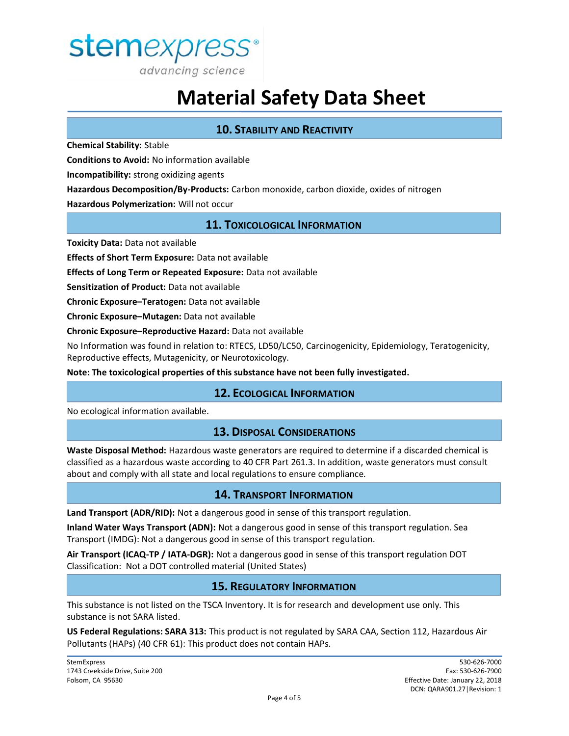

# **10. STABILITY AND REACTIVITY**

**Chemical Stability:** Stable

**Conditions to Avoid:** No information available

**Incompatibility:** strong oxidizing agents

**Hazardous Decomposition/By-Products:** Carbon monoxide, carbon dioxide, oxides of nitrogen

**Hazardous Polymerization:** Will not occur

## **11. TOXICOLOGICAL INFORMATION**

**Toxicity Data:** Data not available

**Effects of Short Term Exposure:** Data not available

**Effects of Long Term or Repeated Exposure:** Data not available

**Sensitization of Product:** Data not available

**Chronic Exposure–Teratogen:** Data not available

**Chronic Exposure–Mutagen:** Data not available

**Chronic Exposure–Reproductive Hazard:** Data not available

No Information was found in relation to: RTECS, LD50/LC50, Carcinogenicity, Epidemiology, Teratogenicity, Reproductive effects, Mutagenicity, or Neurotoxicology.

**Note: The toxicological properties of this substance have not been fully investigated.**

## **12. ECOLOGICAL INFORMATION**

No ecological information available.

### **13. DISPOSAL CONSIDERATIONS**

**Waste Disposal Method:** Hazardous waste generators are required to determine if a discarded chemical is classified as a hazardous waste according to 40 CFR Part 261.3. In addition, waste generators must consult about and comply with all state and local regulations to ensure compliance.

### **14. TRANSPORT INFORMATION**

**Land Transport (ADR/RID):** Not a dangerous good in sense of this transport regulation.

**Inland Water Ways Transport (ADN):** Not a dangerous good in sense of this transport regulation. Sea Transport (IMDG): Not a dangerous good in sense of this transport regulation.

**Air Transport (ICAQ-TP / IATA-DGR):** Not a dangerous good in sense of this transport regulation DOT Classification: Not a DOT controlled material (United States)

### **15. REGULATORY INFORMATION**

This substance is not listed on the TSCA Inventory. It is for research and development use only. This substance is not SARA listed.

**US Federal Regulations: SARA 313:** This product is not regulated by SARA CAA, Section 112, Hazardous Air Pollutants (HAPs) (40 CFR 61): This product does not contain HAPs.